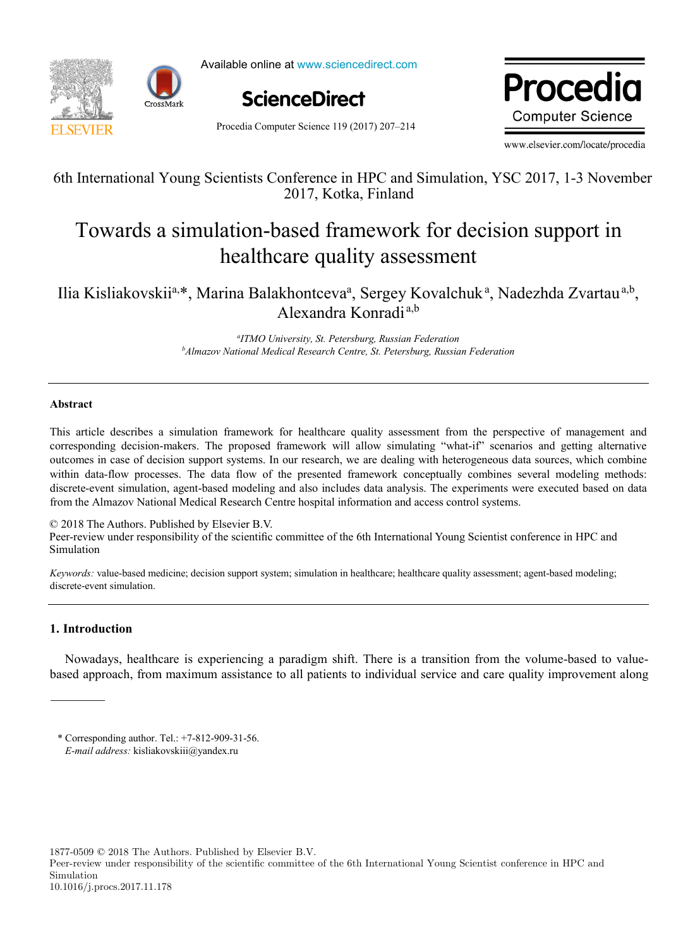



Available online at www.sciencedirect.com



Procedia Computer Science 119 (2017) 207–214



www.elsevier.com/locate/procedia

## 6th International Young Scientists Conference in HPC and Simulation, YSC 2017, 1-3 November 6th International Young Scientists Conference in HPC and Simulation, YSC 2017, 1-3 November 2017, Kotka, Finland

# Towards a simulation-based framework for decision support in alion based hamework for de Towards a simulation-based framework for decision support in healthcare quality assessment

 $\frac{1}{2}$   $\frac{1}{2}$   $\frac{1}{2}$   $\frac{1}{2}$   $\frac{1}{2}$   $\frac{1}{2}$   $\frac{1}{2}$   $\frac{1}{2}$   $\frac{1}{2}$   $\frac{1}{2}$   $\frac{1}{2}$   $\frac{1}{2}$   $\frac{1}{2}$   $\frac{1}{2}$   $\frac{1}{2}$   $\frac{1}{2}$   $\frac{1}{2}$   $\frac{1}{2}$   $\frac{1}{2}$   $\frac{1}{2}$   $\frac{1}{2}$   $\frac{1}{2}$  Ilia Kisliakovskii<sup>a,\*</sup>, Marina Balakhontceva<sup>a</sup>, Sergey Kovalchuk<sup>a</sup>, Nadezhda Zvartau<sup>a,b</sup>, Alexandra Konradi a,b

> *Almazov National Medical Research Centre, St. Petersburg, Russian Federation a ITMO University, St. Petersburg, Russian Federation b Almazov National Medical Research Centre, St. Petersburg, Russian Federation*

### Abstract

This article describes a simulation framework for healthcare quality assessment from the perspective of management and corresponding decision-makers. The proposed framework will allow simulating "what-if" scenarios and getting alternative outcomes in case of decision support systems. In our research, we are dealing with heterogeneous data sources, which combine within data-flow processes. The data flow of the presented framework conceptually combines several modeling methods: discrete-event simulation, agent-based modeling and also includes data analysis. The experiments were executed based on data from the Almazov National Medical Research Centre hospital information and access control systems.

© 2018 The Authors. Published by Elsevier B.V. Peer-review under responsibility of the scientific committee of the 6th International Young Scientist conference in HPC and Peer-review under responsibility of the scientific committee of the 6th International Young Scient Simulation Simulation. Peer-review under responsibility of the scientific committee of the 6th International Young Scientist conference in HPC and Simulation.

*Keywords:* value-based medicine; decision support system; simulation in healthcare; healthcare quality assessment; agent-based modeling; discrete-event simulation.

## 1. Introduction

Nowadays, healthcare is experiencing a paradigm shift. There is a transition from the volume-based to valuebased approach, from maximum assistance to all patients to individual service and care quality improvement along

1877-0509 © 2018 The Authors. Published by Elsevier B.V.

Peer-review under responsibility of the scientific committee of the 6th International Young Scientist conference in HPC and Simulation

<sup>\*</sup> Corresponding author. Tel.: +7-812-909-31-56. *E-mail address: kisliakovskiii@yandex.ru*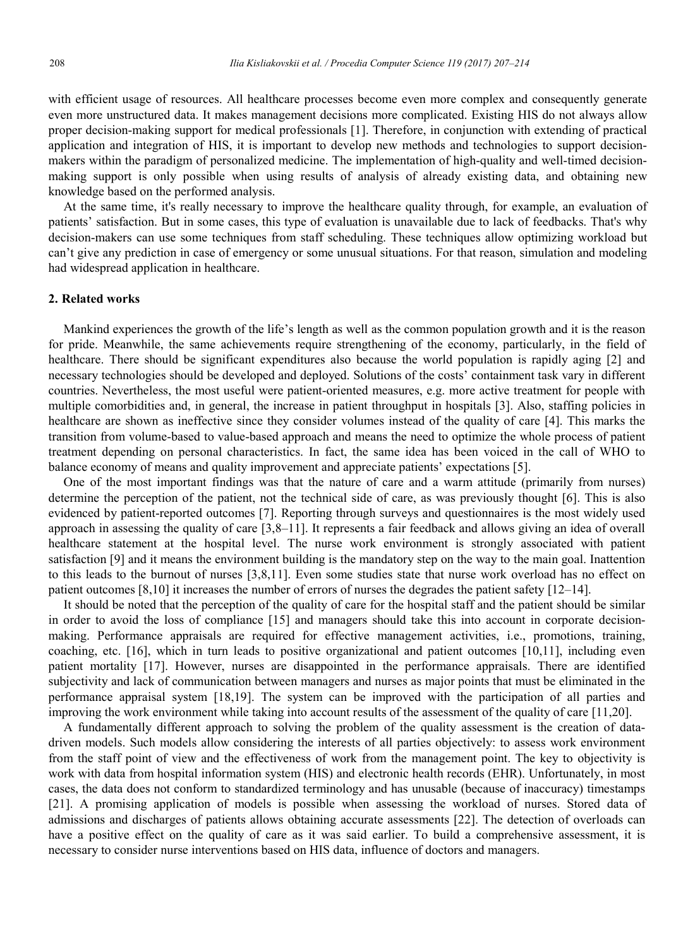with efficient usage of resources. All healthcare processes become even more complex and consequently generate even more unstructured data. It makes management decisions more complicated. Existing HIS do not always allow proper decision-making support for medical professionals [1]. Therefore, in conjunction with extending of practical application and integration of HIS, it is important to develop new methods and technologies to support decisionmakers within the paradigm of personalized medicine. The implementation of high-quality and well-timed decisionmaking support is only possible when using results of analysis of already existing data, and obtaining new knowledge based on the performed analysis.

At the same time, it's really necessary to improve the healthcare quality through, for example, an evaluation of patients' satisfaction. But in some cases, this type of evaluation is unavailable due to lack of feedbacks. That's why decision-makers can use some techniques from staff scheduling. These techniques allow optimizing workload but can't give any prediction in case of emergency or some unusual situations. For that reason, simulation and modeling had widespread application in healthcare.

#### 2. Related works

Mankind experiences the growth of the life's length as well as the common population growth and it is the reason for pride. Meanwhile, the same achievements require strengthening of the economy, particularly, in the field of healthcare. There should be significant expenditures also because the world population is rapidly aging [2] and necessary technologies should be developed and deployed. Solutions of the costs' containment task vary in different countries. Nevertheless, the most useful were patient-oriented measures, e.g. more active treatment for people with multiple comorbidities and, in general, the increase in patient throughput in hospitals [3]. Also, staffing policies in healthcare are shown as ineffective since they consider volumes instead of the quality of care [4]. This marks the transition from volume-based to value-based approach and means the need to optimize the whole process of patient treatment depending on personal characteristics. In fact, the same idea has been voiced in the call of WHO to balance economy of means and quality improvement and appreciate patients' expectations [5].

One of the most important findings was that the nature of care and a warm attitude (primarily from nurses) determine the perception of the patient, not the technical side of care, as was previously thought [6]. This is also evidenced by patient-reported outcomes [7]. Reporting through surveys and questionnaires is the most widely used approach in assessing the quality of care [3,8–11]. It represents a fair feedback and allows giving an idea of overall healthcare statement at the hospital level. The nurse work environment is strongly associated with patient satisfaction [9] and it means the environment building is the mandatory step on the way to the main goal. Inattention to this leads to the burnout of nurses [3,8,11]. Even some studies state that nurse work overload has no effect on patient outcomes [8,10] it increases the number of errors of nurses the degrades the patient safety [12–14].

It should be noted that the perception of the quality of care for the hospital staff and the patient should be similar in order to avoid the loss of compliance [15] and managers should take this into account in corporate decisionmaking. Performance appraisals are required for effective management activities, i.e., promotions, training, coaching, etc. [16], which in turn leads to positive organizational and patient outcomes [10,11], including even patient mortality [17]. However, nurses are disappointed in the performance appraisals. There are identified subjectivity and lack of communication between managers and nurses as major points that must be eliminated in the performance appraisal system [18,19]. The system can be improved with the participation of all parties and improving the work environment while taking into account results of the assessment of the quality of care [11,20].

A fundamentally different approach to solving the problem of the quality assessment is the creation of datadriven models. Such models allow considering the interests of all parties objectively: to assess work environment from the staff point of view and the effectiveness of work from the management point. The key to objectivity is work with data from hospital information system (HIS) and electronic health records (EHR). Unfortunately, in most cases, the data does not conform to standardized terminology and has unusable (because of inaccuracy) timestamps [21]. A promising application of models is possible when assessing the workload of nurses. Stored data of admissions and discharges of patients allows obtaining accurate assessments [22]. The detection of overloads can have a positive effect on the quality of care as it was said earlier. To build a comprehensive assessment, it is necessary to consider nurse interventions based on HIS data, influence of doctors and managers.